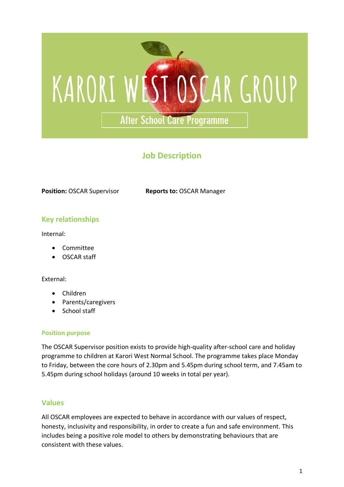

# **Job Description**

**Position:** OSCAR Supervisor **Reports to:** OSCAR Manager

### **Key relationships**

Internal:

- Committee
- OSCAR staff

External:

- Children
- Parents/caregivers
- School staff

#### **Position purpose**

The OSCAR Supervisor position exists to provide high-quality after-school care and holiday programme to children at Karori West Normal School. The programme takes place Monday to Friday, between the core hours of 2.30pm and 5.45pm during school term, and 7.45am to 5.45pm during school holidays (around 10 weeks in total per year).

#### **Values**

All OSCAR employees are expected to behave in accordance with our values of respect, honesty, inclusivity and responsibility, in order to create a fun and safe environment. This includes being a positive role model to others by demonstrating behaviours that are consistent with these values.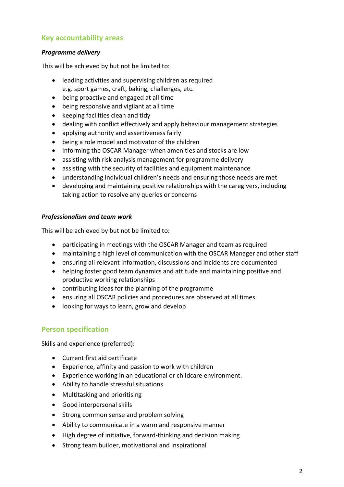### **Key accountability areas**

#### *Programme delivery*

This will be achieved by but not be limited to:

- leading activities and supervising children as required e.g. sport games, craft, baking, challenges, etc.
- being proactive and engaged at all time
- being responsive and vigilant at all time
- keeping facilities clean and tidy
- dealing with conflict effectively and apply behaviour management strategies
- applying authority and assertiveness fairly
- being a role model and motivator of the children
- informing the OSCAR Manager when amenities and stocks are low
- assisting with risk analysis management for programme delivery
- assisting with the security of facilities and equipment maintenance
- understanding individual children's needs and ensuring those needs are met
- developing and maintaining positive relationships with the caregivers, including taking action to resolve any queries or concerns

#### *Professionalism and team work*

This will be achieved by but not be limited to:

- participating in meetings with the OSCAR Manager and team as required
- maintaining a high level of communication with the OSCAR Manager and other staff
- ensuring all relevant information, discussions and incidents are documented
- helping foster good team dynamics and attitude and maintaining positive and productive working relationships
- contributing ideas for the planning of the programme
- ensuring all OSCAR policies and procedures are observed at all times
- looking for ways to learn, grow and develop

## **Person specification**

Skills and experience (preferred):

- Current first aid certificate
- Experience, affinity and passion to work with children
- Experience working in an educational or childcare environment.
- Ability to handle stressful situations
- Multitasking and prioritising
- Good interpersonal skills
- Strong common sense and problem solving
- Ability to communicate in a warm and responsive manner
- High degree of initiative, forward-thinking and decision making
- Strong team builder, motivational and inspirational